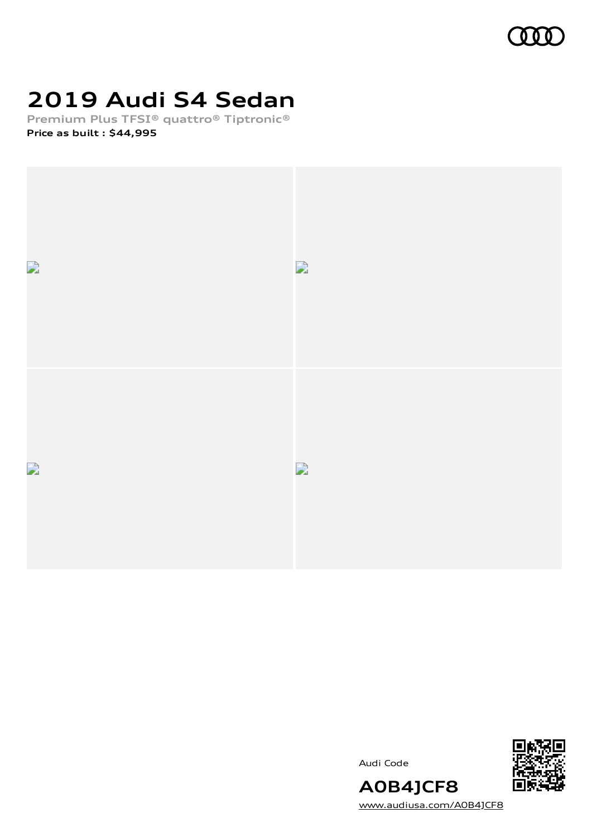

# **2019 Audi S4 Sedan**

**Premium Plus TFSI® quattro® Tiptronic® Price as built [:](#page-8-0) \$44,995**



Audi Code



[www.audiusa.com/A0B4JCF8](https://www.audiusa.com/A0B4JCF8)

**A0B4JCF8**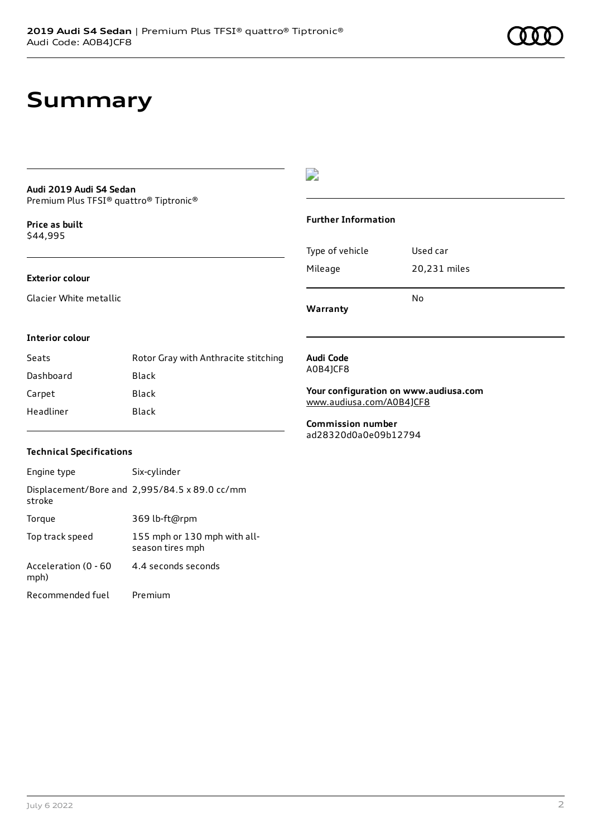# **Summary**

#### **Audi 2019 Audi S4 Sedan**

Premium Plus TFSI® quattro® Tiptronic®

**Price as buil[t](#page-8-0)** \$44,995

#### **Exterior colour**

Glacier White metallic

#### $\overline{\phantom{a}}$

#### **Further Information**

|                 | N٥           |
|-----------------|--------------|
| Mileage         | 20,231 miles |
| Type of vehicle | Used car     |

**Warranty**

#### **Interior colour**

| Seats     | Rotor Gray with Anthracite stitching |
|-----------|--------------------------------------|
| Dashboard | Black                                |
| Carpet    | Black                                |
| Headliner | Black                                |

#### **Audi Code** A0B4JCF8

**Your configuration on www.audiusa.com** [www.audiusa.com/A0B4JCF8](https://www.audiusa.com/A0B4JCF8)

**Commission number** ad28320d0a0e09b12794

#### **Technical Specifications**

| Engine type                  | Six-cylinder                                     |
|------------------------------|--------------------------------------------------|
| stroke                       | Displacement/Bore and 2,995/84.5 x 89.0 cc/mm    |
| Torque                       | 369 lb-ft@rpm                                    |
| Top track speed              | 155 mph or 130 mph with all-<br>season tires mph |
| Acceleration (0 - 60<br>mph) | 4 4 seconds seconds                              |
| Recommended fuel             | Premium                                          |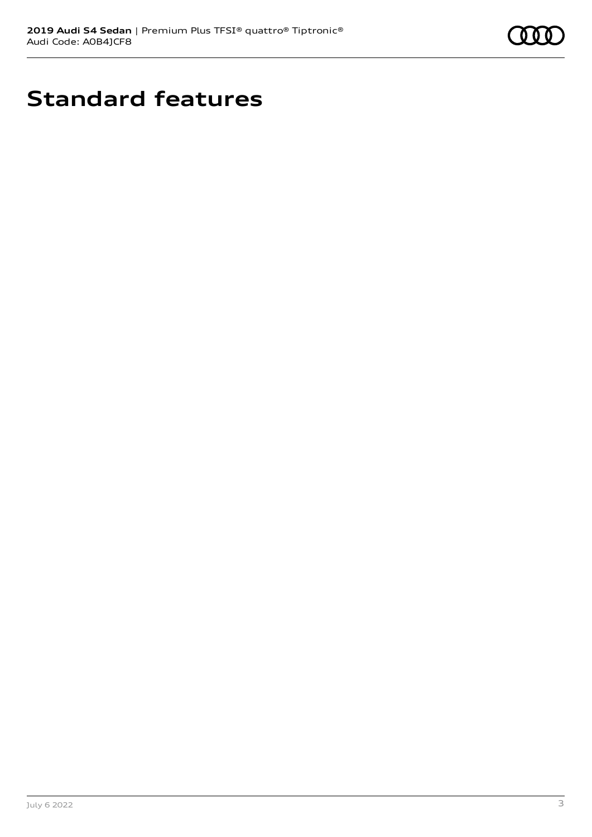

# **Standard features**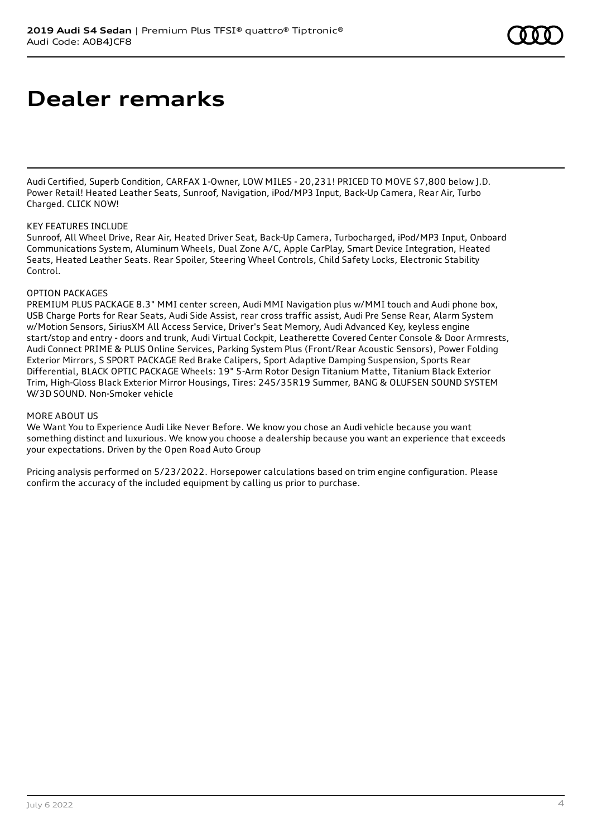# **Dealer remarks**

Audi Certified, Superb Condition, CARFAX 1-Owner, LOW MILES - 20,231! PRICED TO MOVE \$7,800 below J.D. Power Retail! Heated Leather Seats, Sunroof, Navigation, iPod/MP3 Input, Back-Up Camera, Rear Air, Turbo Charged. CLICK NOW!

#### KEY FEATURES INCLUDE

Sunroof, All Wheel Drive, Rear Air, Heated Driver Seat, Back-Up Camera, Turbocharged, iPod/MP3 Input, Onboard Communications System, Aluminum Wheels, Dual Zone A/C, Apple CarPlay, Smart Device Integration, Heated Seats, Heated Leather Seats. Rear Spoiler, Steering Wheel Controls, Child Safety Locks, Electronic Stability Control.

#### OPTION PACKAGES

PREMIUM PLUS PACKAGE 8.3" MMI center screen, Audi MMI Navigation plus w/MMI touch and Audi phone box, USB Charge Ports for Rear Seats, Audi Side Assist, rear cross traffic assist, Audi Pre Sense Rear, Alarm System w/Motion Sensors, SiriusXM All Access Service, Driver's Seat Memory, Audi Advanced Key, keyless engine start/stop and entry - doors and trunk, Audi Virtual Cockpit, Leatherette Covered Center Console & Door Armrests, Audi Connect PRIME & PLUS Online Services, Parking System Plus (Front/Rear Acoustic Sensors), Power Folding Exterior Mirrors, S SPORT PACKAGE Red Brake Calipers, Sport Adaptive Damping Suspension, Sports Rear Differential, BLACK OPTIC PACKAGE Wheels: 19" 5-Arm Rotor Design Titanium Matte, Titanium Black Exterior Trim, High-Gloss Black Exterior Mirror Housings, Tires: 245/35R19 Summer, BANG & OLUFSEN SOUND SYSTEM W/3D SOUND. Non-Smoker vehicle

#### MORE ABOUT US

We Want You to Experience Audi Like Never Before. We know you chose an Audi vehicle because you want something distinct and luxurious. We know you choose a dealership because you want an experience that exceeds your expectations. Driven by the Open Road Auto Group

Pricing analysis performed on 5/23/2022. Horsepower calculations based on trim engine configuration. Please confirm the accuracy of the included equipment by calling us prior to purchase.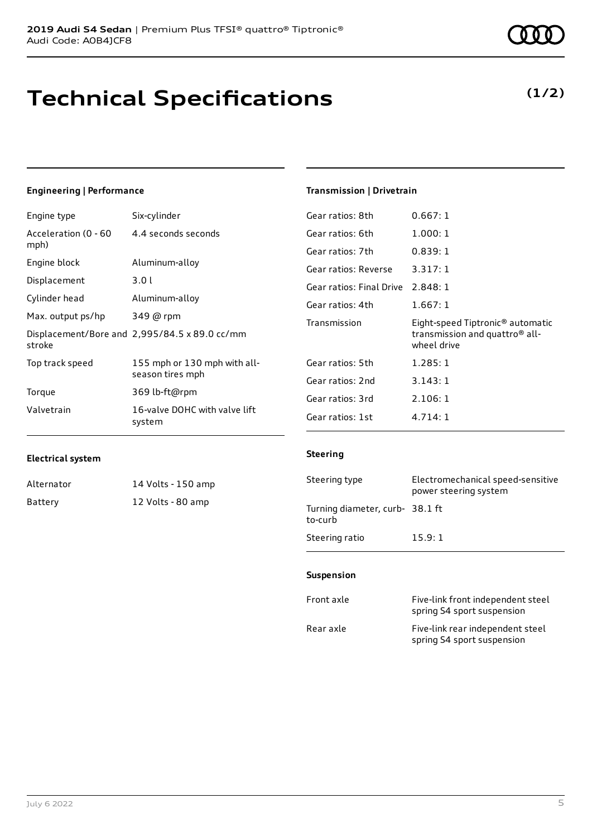# **Technical Specifications**

### **Engineering | Performance**

| Engine type                  | Six-cylinder                                     |
|------------------------------|--------------------------------------------------|
| Acceleration (0 - 60<br>mph) | 4.4 seconds seconds                              |
| Engine block                 | Aluminum-alloy                                   |
| Displacement                 | 3.01                                             |
| Cylinder head                | Aluminum-alloy                                   |
| Max. output ps/hp            | 349 @ rpm                                        |
| stroke                       | Displacement/Bore and 2,995/84.5 x 89.0 cc/mm    |
| Top track speed              | 155 mph or 130 mph with all-<br>season tires mph |
| Torque                       | 369 lb-ft@rpm                                    |
| Valvetrain                   | 16-valve DOHC with valve lift<br>system          |

#### **Transmission | Drivetrain**

| Gear ratios: 8th                  | 0.667:1                                                                                                   |
|-----------------------------------|-----------------------------------------------------------------------------------------------------------|
| Gear ratios: 6th                  | 1.000:1                                                                                                   |
| Gear ratios: 7th                  | 0.839:1                                                                                                   |
| Gear ratios: Reverse              | 3.317:1                                                                                                   |
| Gear ratios: Final Drive 2.848: 1 |                                                                                                           |
| Gear ratios: 4th                  | 1.667:1                                                                                                   |
|                                   |                                                                                                           |
| Transmission                      | Eight-speed Tiptronic <sup>®</sup> automatic<br>transmission and quattro <sup>®</sup> all-<br>wheel drive |
| Gear ratios: 5th                  | 1.285:1                                                                                                   |
| Gear ratios: 2nd                  | 3.143:1                                                                                                   |
| Gear ratios: 3rd                  | 2.106:1                                                                                                   |

#### **Electrical system**

| Alternator | 14 Volts - 150 amp |
|------------|--------------------|
| Battery    | 12 Volts - 80 amp  |

#### **Steering**

| Steering type                             | Electromechanical speed-sensitive<br>power steering system |
|-------------------------------------------|------------------------------------------------------------|
| Turning diameter, curb-38.1 ft<br>to-curb |                                                            |
| Steering ratio                            | 15.9:1                                                     |

#### **Suspension**

| Front axle | Five-link front independent steel<br>spring S4 sport suspension |
|------------|-----------------------------------------------------------------|
| Rear axle  | Five-link rear independent steel<br>spring S4 sport suspension  |

**(1/2)**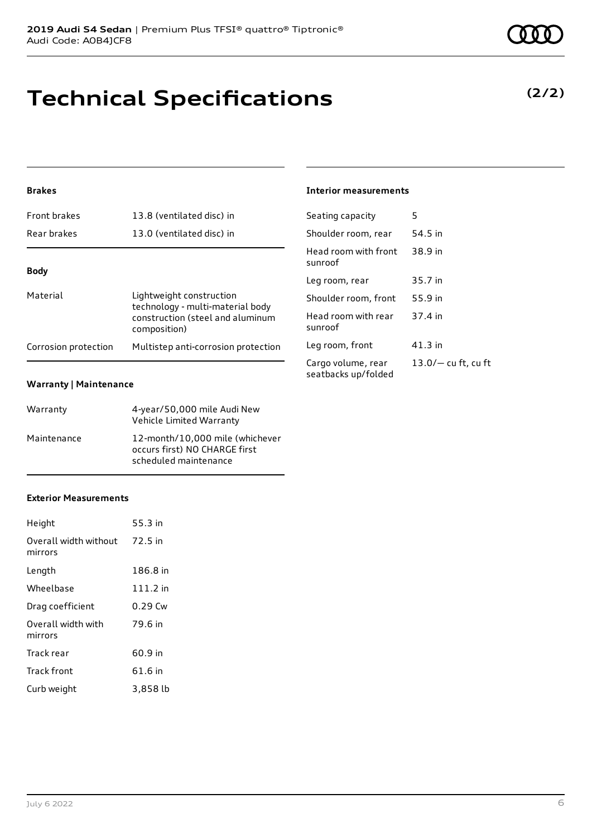Audi Code: A0B4JCF8

## **Technical Specifications**

**2019 Audi S4 Sedan** | Premium Plus TFSI® quattro® Tiptronic®

#### **Brakes**

| <b>Front brakes</b>  | 13.8 (ventilated disc) in                                                                                        |
|----------------------|------------------------------------------------------------------------------------------------------------------|
| Rear brakes          | 13.0 (ventilated disc) in                                                                                        |
|                      |                                                                                                                  |
| <b>Body</b>          |                                                                                                                  |
| Material             | Lightweight construction<br>technology - multi-material body<br>construction (steel and aluminum<br>composition) |
| Corrosion protection | Multistep anti-corrosion protection                                                                              |

#### **Warranty | Maintenance**

| Warranty    | 4-year/50,000 mile Audi New<br>Vehicle Limited Warranty                                   |
|-------------|-------------------------------------------------------------------------------------------|
| Maintenance | 12-month/10.000 mile (whichever<br>occurs first) NO CHARGE first<br>scheduled maintenance |

#### **Exterior Measurements**

| Height                           | 55.3 in  |
|----------------------------------|----------|
| Overall width without<br>mirrors | 72.5 in  |
| Length                           | 186.8 in |
| Wheelbase                        | 111.2 in |
| Drag coefficient                 | 0.29 Cw  |
| Overall width with<br>mirrors    | 79.6 in  |
| Track rear                       | 60.9 in  |
| Track front                      | 61.6 in  |
| Curb weight                      | 3,858 lb |

#### **Interior measurements**

| 5                   |
|---------------------|
| 54.5 in             |
| 38.9 in             |
| 35.7 in             |
| 55.9 in             |
| 37.4 in             |
| 41.3 in             |
| 13.0/- cu ft, cu ft |
|                     |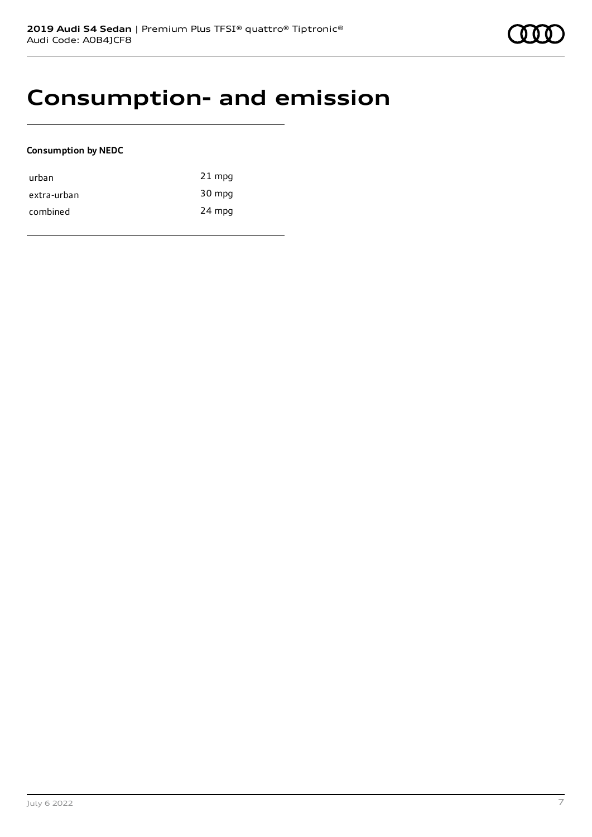## **Consumption- and emission**

#### **Consumption by NEDC**

| urban       | $21$ mpg |
|-------------|----------|
| extra-urban | 30 mpg   |
| combined    | 24 mpg   |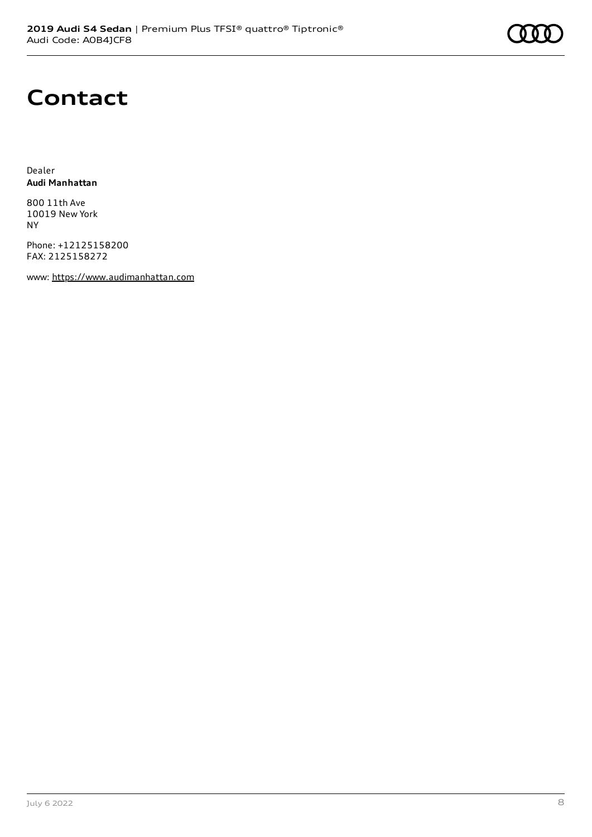# **Contact**

Dealer **Audi Manhattan**

800 11th Ave 10019 New York NY

Phone: +12125158200 FAX: 2125158272

www: [https://www.audimanhattan.com](https://www.audimanhattan.com/)